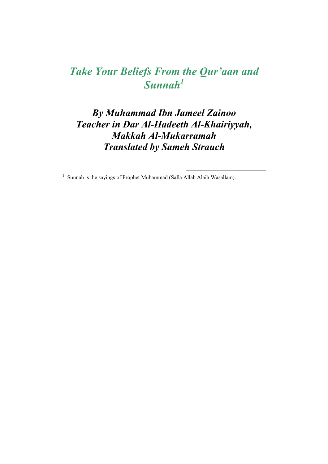# *Take Your Beliefs From the Qur'aan and Sunnah<sup>1</sup>*

*By Muhammad Ibn Jameel Zainoo Teacher in Dar Al-Hadeeth Al-Khairiyyah, Makkah Al-Mukarramah Translated by Sameh Strauch* 

<sup>1</sup> Sunnah is the sayings of Prophet Muhammad (Salla Allah Alaih Wasallam).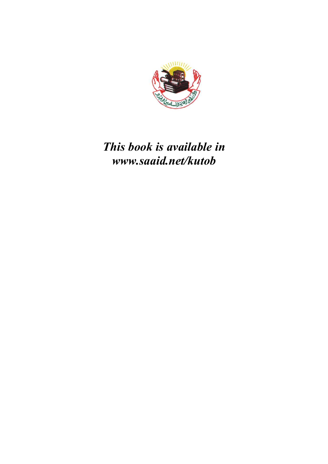

# *This book is available in www.saaid.net/kutob*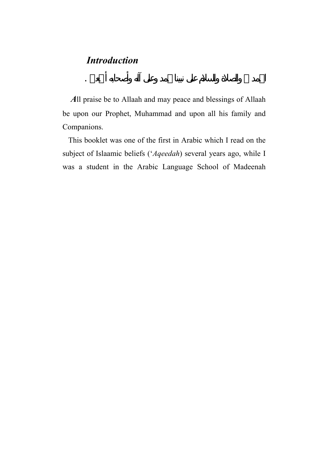#### *Introduction*

 *A*ll praise be to Allaah and may peace and blessings of Allaah be upon our Prophet, Muhammad and upon all his family and Companions.

الحمد والصلاة والسلا على نبينا محمد وعلى آله وأصحابه أجمعين .

 This booklet was one of the first in Arabic which I read on the subject of Islaamic beliefs ('*Aqeedah*) several years ago, while I was a student in the Arabic Language School of Madeenah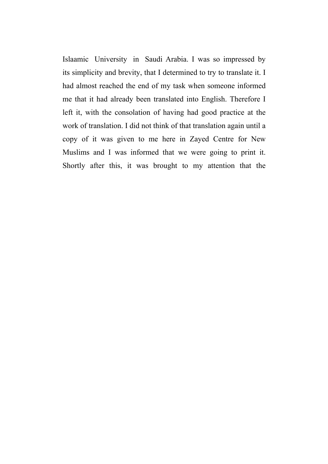Islaamic University in Saudi Arabia. I was so impressed by its simplicity and brevity, that I determined to try to translate it. I had almost reached the end of my task when someone informed me that it had already been translated into English. Therefore I left it, with the consolation of having had good practice at the work of translation. I did not think of that translation again until a copy of it was given to me here in Zayed Centre for New Muslims and I was informed that we were going to print it. Shortly after this, it was brought to my attention that the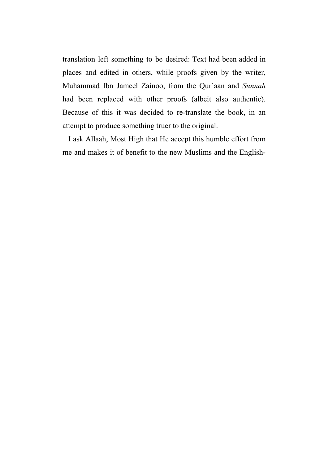translation left something to be desired: Text had been added in places and edited in others, while proofs given by the writer, Muhammad Ibn Jameel Zainoo, from the Qur`aan and *Sunnah* had been replaced with other proofs (albeit also authentic). Because of this it was decided to re-translate the book, in an attempt to produce something truer to the original.

 I ask Allaah, Most High that He accept this humble effort from me and makes it of benefit to the new Muslims and the English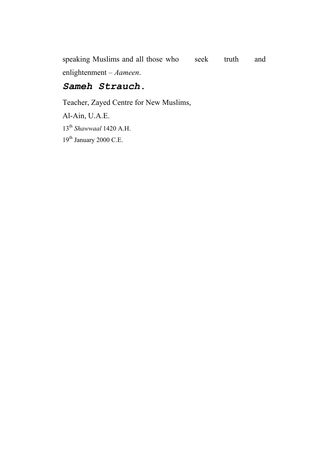speaking Muslims and all those who seek truth and enlightenment – *Aameen*.

#### *Sameh Strauch.*

Teacher, Zayed Centre for New Muslims, Al-Ain, U.A.E. 13th *Shawwaal* 1420 A.H.  $19^{\rm th}$  January 2000 C.E.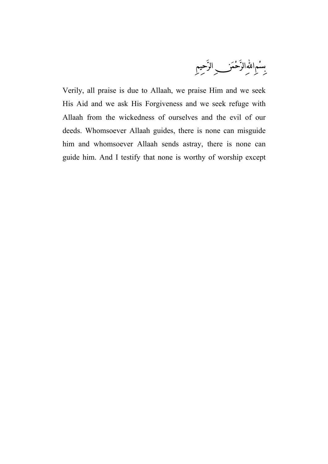بِسْمِاللَّهْالرَّحْمَنِ ۖ الرَّحيمِ

Verily, all praise is due to Allaah, we praise Him and we seek His Aid and we ask His Forgiveness and we seek refuge with Allaah from the wickedness of ourselves and the evil of our deeds. Whomsoever Allaah guides, there is none can misguide him and whomsoever Allaah sends astray, there is none can guide him. And I testify that none is worthy of worship except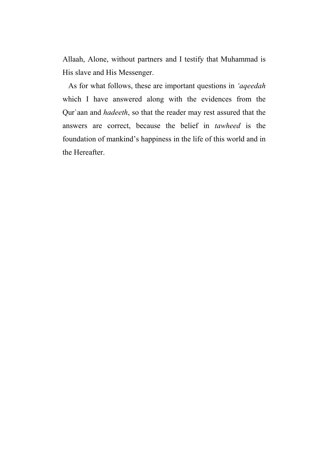Allaah, Alone, without partners and I testify that Muhammad is His slave and His Messenger.

 As for what follows, these are important questions in *'aqeedah* which I have answered along with the evidences from the Qur`aan and *hadeeth*, so that the reader may rest assured that the answers are correct, because the belief in *tawheed* is the foundation of mankind's happiness in the life of this world and in the Hereafter.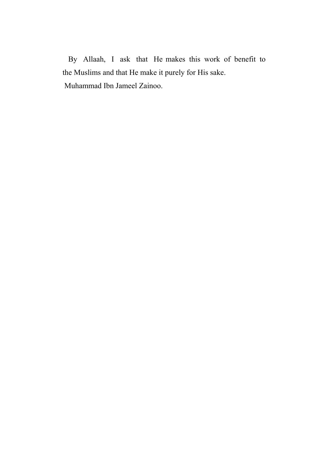By Allaah, I ask that He makes this work of benefit to the Muslims and that He make it purely for His sake. Muhammad Ibn Jameel Zainoo.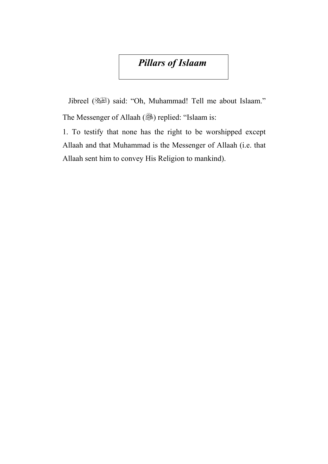### *Pillars of Islaam*

 Jibreel () said: "Oh, Muhammad! Tell me about Islaam." The Messenger of Allaah () replied: "Islaam is:

1. To testify that none has the right to be worshipped except Allaah and that Muhammad is the Messenger of Allaah (i.e. that Allaah sent him to convey His Religion to mankind).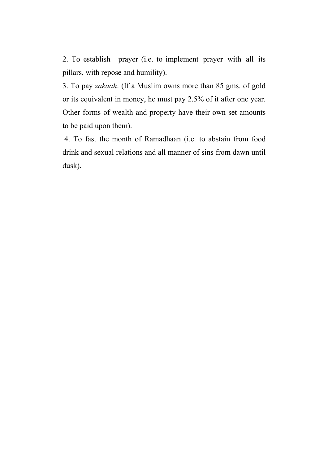2. To establish prayer (i.e. to implement prayer with all its pillars, with repose and humility).

3. To pay *zakaah*. (If a Muslim owns more than 85 gms. of gold or its equivalent in money, he must pay 2.5% of it after one year. Other forms of wealth and property have their own set amounts to be paid upon them).

 4. To fast the month of Ramadhaan (i.e. to abstain from food drink and sexual relations and all manner of sins from dawn until dusk).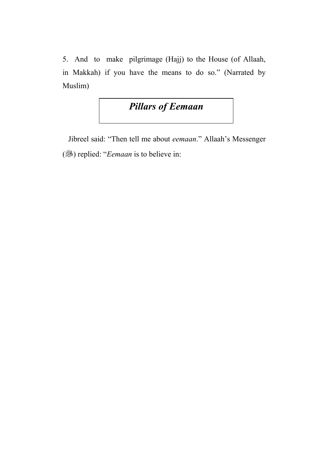5. And to make pilgrimage (Hajj) to the House (of Allaah, in Makkah) if you have the means to do so." (Narrated by Muslim)

### *Pillars of Eemaan*

 Jibreel said: "Then tell me about *eemaan*." Allaah's Messenger () replied: "*Eemaan* is to believe in: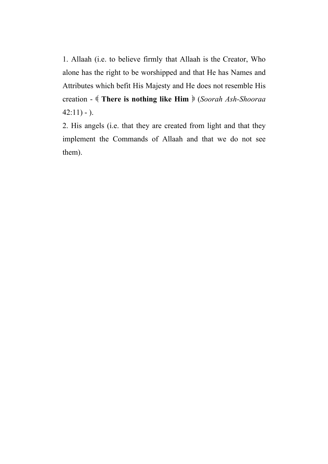1. Allaah (i.e. to believe firmly that Allaah is the Creator, Who alone has the right to be worshipped and that He has Names and Attributes which befit His Majesty and He does not resemble His creation - **There is nothing like Him** (*Soorah Ash-Shooraa*  $42:11$ ) - ).

2. His angels (i.e. that they are created from light and that they implement the Commands of Allaah and that we do not see them).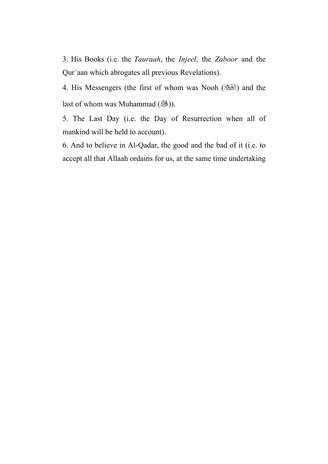3. His Books (i.e. the *Tauraah*, the *Injeel*, the *Zaboor* and the Qur`aan which abrogates all previous Revelations).

4. His Messengers (the first of whom was Nooh (الطَّيْئَة) and the last of whom was Muhammad  $(\mathbb{R})$ ).

5. The Last Day (i.e. the Day of Resurrection when all of mankind will be held to account).

6. And to believe in Al-Qadar, the good and the bad of it (i.e. to accept all that Allaah ordains for us, at the same time undertaking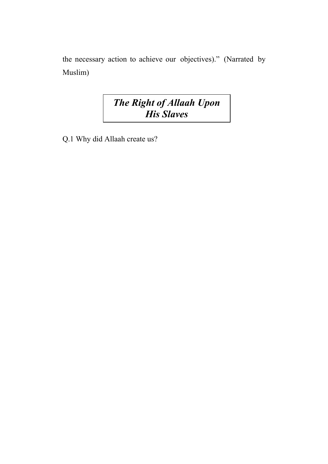the necessary action to achieve our objectives)." (Narrated by Muslim)

# *The Right of Allaah Upon His Slaves*

Q.1 Why did Allaah create us?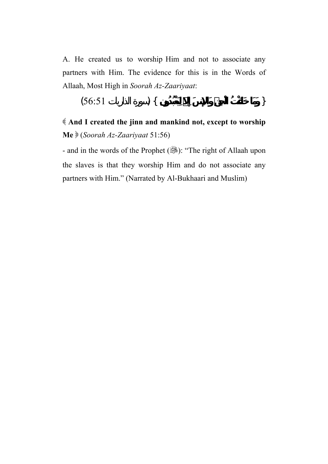A. He created us to worship Him and not to associate any partners with Him. The evidence for this is in the Words of Allaah, Most High in *Soorah Az-Zaariyaat*:

$$
(56.51) \qquad ) \{ \qquad \qquad \}
$$

 **And I created the jinn and mankind not, except to worship Me** (*Soorah Az-Zaariyaat* 51:56)

- and in the words of the Prophet ( $\frac{1}{2}$ ): "The right of Allaah upon the slaves is that they worship Him and do not associate any partners with Him." (Narrated by Al-Bukhaari and Muslim)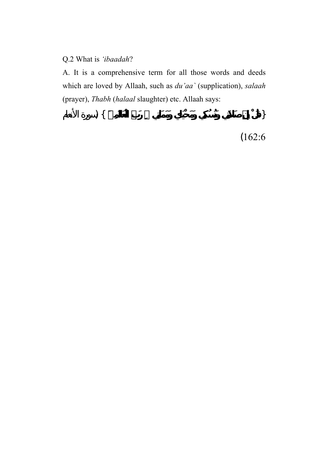#### Q.2 What is *'ibaadah*?

A. It is a comprehensive term for all those words and deeds which are loved by Allaah, such as *du'aa`* (supplication), *salaah* (prayer), *Thabh* (*halaal* slaughter) etc. Allaah says:

{ **قُلْ إِنَّ صَلاَتِي وَنُسُكِي وَمَحْيَاي وَمَمَاتِي رَبِّ الْعَالَمِينَ** } (سورة الأنعام (162:6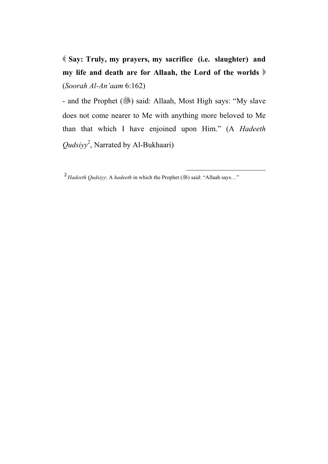**Say: Truly, my prayers, my sacrifice (i.e. slaughter) and my life and death are for Allaah, the Lord of the worlds** (*Soorah Al-An'aam* 6:162)

- and the Prophet (, is ) said: Allaah, Most High says: "My slave does not come nearer to Me with anything more beloved to Me than that which I have enjoined upon Him." (A *Hadeeth Qudsiyy*<sup>2</sup> , Narrated by Al-Bukhaari)

 $\overline{a}$ 

<sup>2</sup> *Hadeeth Qudsiyy:* A *hadeeth* in which the Prophet (...) said: "Allaah says..."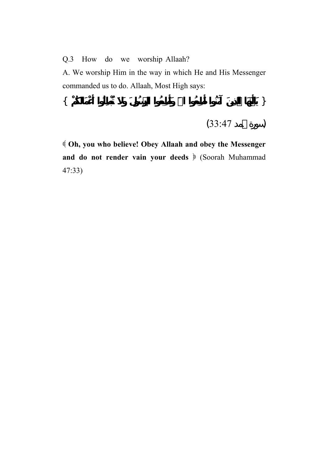Q.3 How do we worship Allaah?

A. We worship Him in the way in which He and His Messenger commanded us to do. Allaah, Most High says:

$$
\{ \tag{33.47} \tag{33.47}
$$

 **Oh, you who believe! Obey Allaah and obey the Messenger**  and do not render vain your deeds  $\Diamond$  (Soorah Muhammad 47:33)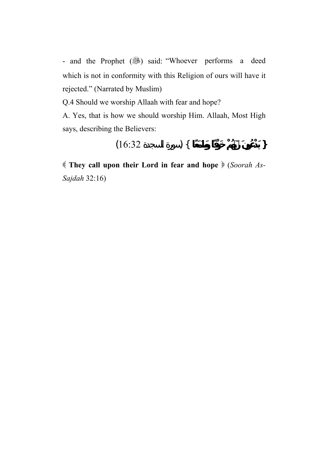- and the Prophet (3) said: "Whoever performs a deed which is not in conformity with this Religion of ours will have it rejected." (Narrated by Muslim)

Q.4 Should we worship Allaah with fear and hope?

A. Yes, that is how we should worship Him. Allaah, Most High says, describing the Believers:

$$
(16.32) \qquad ) \{ \qquad \qquad \}
$$

 **They call upon their Lord in fear and hope** (*Soorah As-Sajdah* 32:16)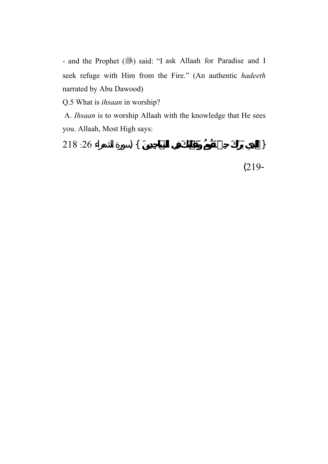- and the Prophet (...) said: "I ask Allaah for Paradise and I seek refuge with Him from the Fire." (An authentic *hadeeth* narrated by Abu Dawood)

Q.5 What is *ihsaan* in worship?

 A. *Ihsaan* is to worship Allaah with the knowledge that He sees you. Allaah, Most High says:

{ **الَّذِي يَرَاكَ حِينَ تَقُومُ وَتَقَلُّبَكَ فِي السَّاجِدِينَ** } (سورة الشعراء :26 218 (219-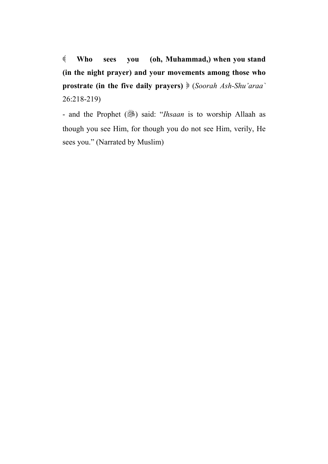**Who sees you (oh, Muhammad,) when you stand (in the night prayer) and your movements among those who prostrate (in the five daily prayers)** (*Soorah Ash-Shu'araa`* 26:218-219)

- and the Prophet (...) said: "*Ihsaan* is to worship Allaah as though you see Him, for though you do not see Him, verily, He sees you." (Narrated by Muslim)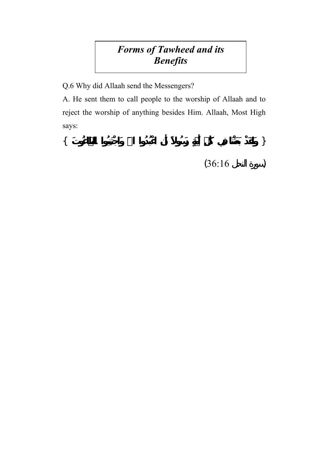# *Forms of Tawheed and its Benefits*

Q.6 Why did Allaah send the Messengers?

A. He sent them to call people to the worship of Allaah and to reject the worship of anything besides Him. Allaah, Most High says:

{ **وَلَقَدْ بَعَثْنَا فِي كُلِّ أُمَّةٍ رَسُولاً أَنِ اعْبُدُوا االلهَ وَاجْتَنِبُوا الطَّاغُوتَ** }  $(36:16)$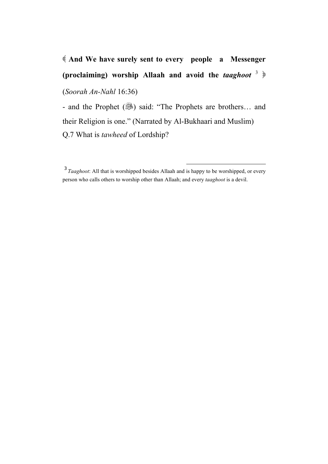# **And We have surely sent to every people a Messenger (proclaiming) worship Allaah and avoid the** *taaghoot* <sup>3</sup> (*Soorah An-Nahl* 16:36)

- and the Prophet (3) said: "The Prophets are brothers... and their Religion is one." (Narrated by Al-Bukhaari and Muslim) Q.7 What is *tawheed* of Lordship?

l

<sup>&</sup>lt;sup>3</sup> *Taaghoot*: All that is worshipped besides Allaah and is happy to be worshipped, or every person who calls others to worship other than Allaah; and every *taaghoot* is a devil.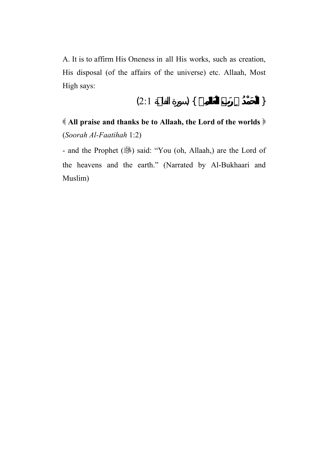A. It is to affirm His Oneness in all His works, such as creation, His disposal (of the affairs of the universe) etc. Allaah, Most High says:

$$
(2:1) \qquad \qquad \} \{
$$

 **All praise and thanks be to Allaah, the Lord of the worlds** (*Soorah Al-Faatihah* 1:2)

- and the Prophet (.) said: "You (oh, Allaah,) are the Lord of the heavens and the earth." (Narrated by Al-Bukhaari and Muslim)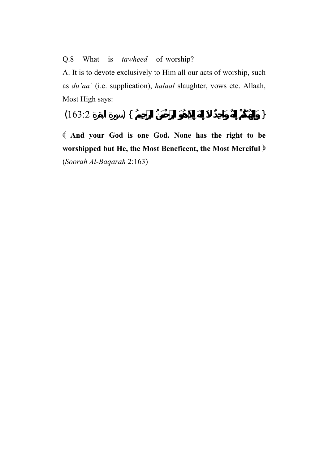#### Q.8 What is *tawheed* of worship?

A. It is to devote exclusively to Him all our acts of worship, such as *du'aa`* (i.e. supplication), *halaal* slaughter, vows etc. Allaah, Most High says:

$$
(163:2) \quad \textcolor{blue}{\big\}
$$

 **And your God is one God. None has the right to be worshipped but He, the Most Beneficent, the Most Merciful** (*Soorah Al-Baqarah* 2:163)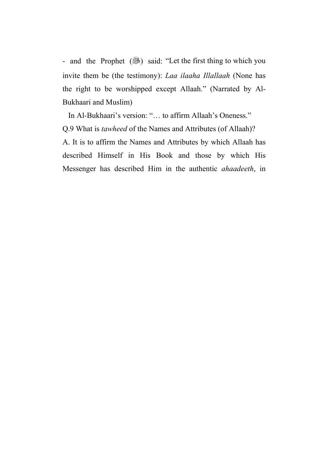- and the Prophet (3) said: "Let the first thing to which you invite them be (the testimony): *Laa ilaaha Illallaah* (None has the right to be worshipped except Allaah." (Narrated by Al-Bukhaari and Muslim)

 In Al-Bukhaari's version: "… to affirm Allaah's Oneness." Q.9 What is *tawheed* of the Names and Attributes (of Allaah)? A. It is to affirm the Names and Attributes by which Allaah has described Himself in His Book and those by which His Messenger has described Him in the authentic *ahaadeeth*, in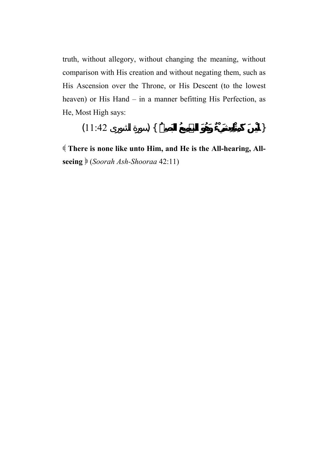truth, without allegory, without changing the meaning, without comparison with His creation and without negating them, such as His Ascension over the Throne, or His Descent (to the lowest heaven) or His Hand – in a manner befitting His Perfection, as He, Most High says:

$$
(11:42 \t) \{
$$

 **There is none like unto Him, and He is the All-hearing, Allseeing** (*Soorah Ash-Shooraa* 42:11)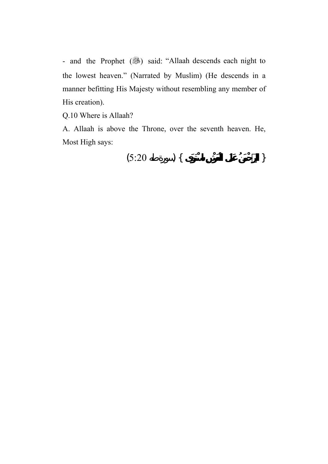- and the Prophet (3) said: "Allaah descends each night to the lowest heaven." (Narrated by Muslim) (He descends in a manner befitting His Majesty without resembling any member of His creation).

Q.10 Where is Allaah?

A. Allaah is above the Throne, over the seventh heaven. He, Most High says:

$$
(5:20) \quad \{ \quad \}
$$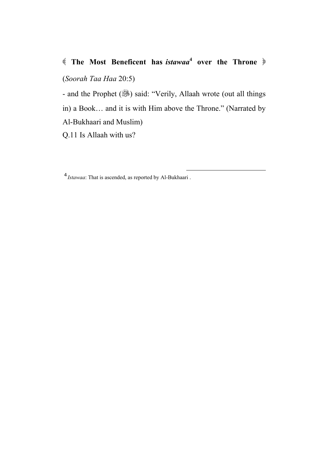#### **(** The Most Beneficent has *istawaa*<sup>4</sup> over the Throne  $\phi$

(*Soorah Taa Haa* 20:5)

- and the Prophet (38) said: "Verily, Allaah wrote (out all things

in) a Book… and it is with Him above the Throne." (Narrated by

 $\overline{a}$ 

Al-Bukhaari and Muslim)

Q.11 Is Allaah with us?

<sup>4</sup> *Istawaa*: That is ascended, as reported by Al-Bukhaari .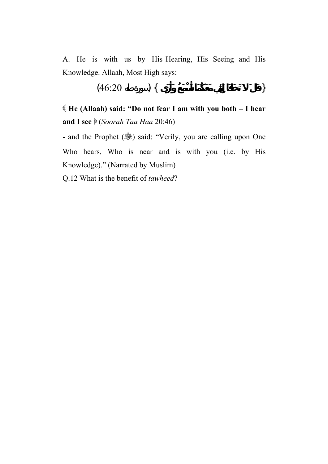A. He is with us by His Hearing, His Seeing and His Knowledge. Allaah, Most High says:

$$
(46:20) \quad \{ \quad \}
$$

 **He (Allaah) said: "Do not fear I am with you both – I hear and I see** (*Soorah Taa Haa* 20:46)

- and the Prophet (3) said: "Verily, you are calling upon One Who hears, Who is near and is with you (i.e. by His Knowledge)." (Narrated by Muslim)

Q.12 What is the benefit of *tawheed*?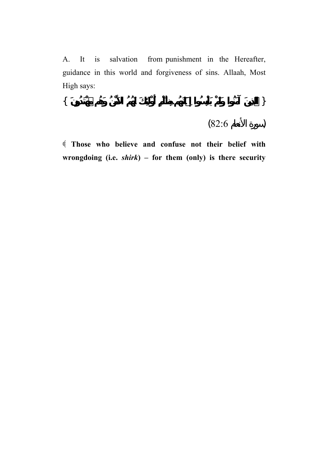A. It is salvation from punishment in the Hereafter, guidance in this world and forgiveness of sins. Allaah, Most High says:

$$
\{ \hspace{7cm} \}
$$

(سورة الأنعام 82:6)

 **Those who believe and confuse not their belief with wrongdoing (i.e.** *shirk***) – for them (only) is there security**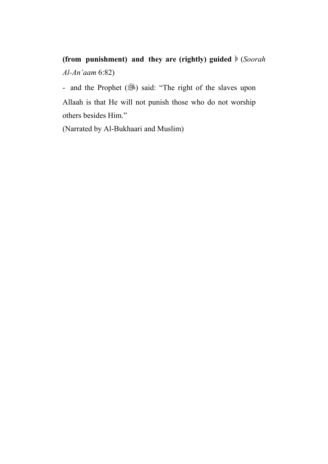# **(from punishment) and they are (rightly) guided** (*Soorah Al-An'aam* 6:82)

- and the Prophet (3) said: "The right of the slaves upon Allaah is that He will not punish those who do not worship others besides Him."

(Narrated by Al-Bukhaari and Muslim)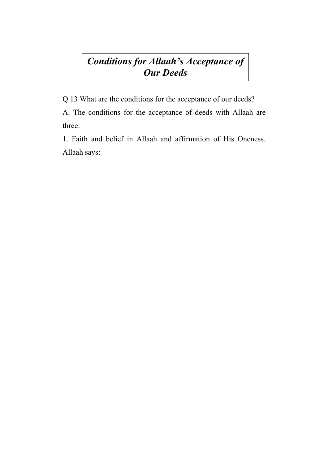#### *Conditions for Allaah's Acceptance of Our Deeds*

Q.13 What are the conditions for the acceptance of our deeds?

A. The conditions for the acceptance of deeds with Allaah are three:

1. Faith and belief in Allaah and affirmation of His Oneness. Allaah says: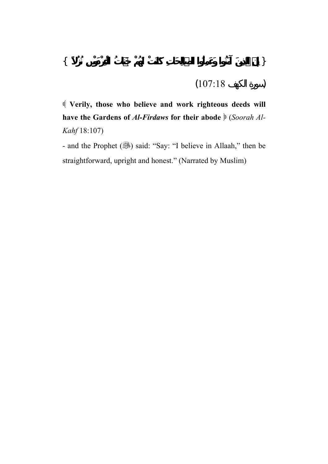$$
(107:18 \t\t)
$$

 **Verily, those who believe and work righteous deeds will have the Gardens of** *Al-Firdaws* **for their abode** (*Soorah Al-Kahf* 18:107)

- and the Prophet (3) said: "Say: "I believe in Allaah," then be straightforward, upright and honest." (Narrated by Muslim)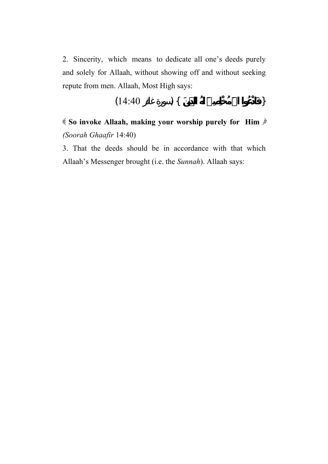2. Sincerity, which means to dedicate all one's deeds purely and solely for Allaah, without showing off and without seeking repute from men. Allaah, Most High says:

$$
(14:40 \t) \{
$$

 **So invoke Allaah, making your worship purely for Him** *(Soorah Ghaafir* 14:40)

3. That the deeds should be in accordance with that which Allaah's Messenger brought (i.e. the *Sunnah*). Allaah says: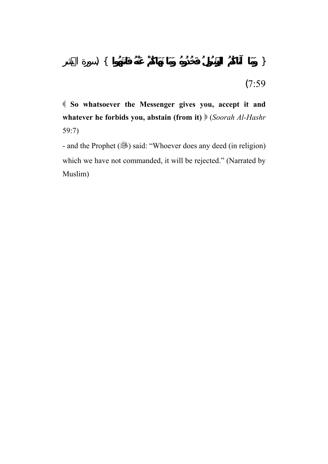**So whatsoever the Messenger gives you, accept it and whatever he forbids you, abstain (from it)** (*Soorah Al-Hashr* 59:7)

- and the Prophet (...) said: "Whoever does any deed (in religion) which we have not commanded, it will be rejected." (Narrated by Muslim)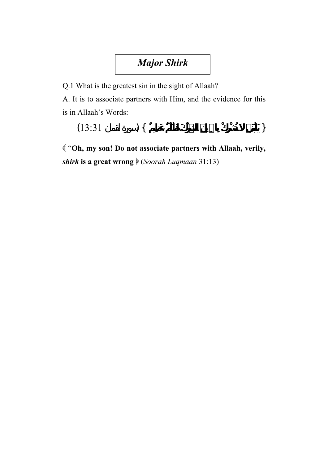## *Major Shirk*

Q.1 What is the greatest sin in the sight of Allaah?

A. It is to associate partners with Him, and the evidence for this is in Allaah's Words:

```
\{13:31\} \{
```
 "**Oh, my son! Do not associate partners with Allaah, verily,**  *shirk* **is a great wrong** (*Soorah Luqmaan* 31:13)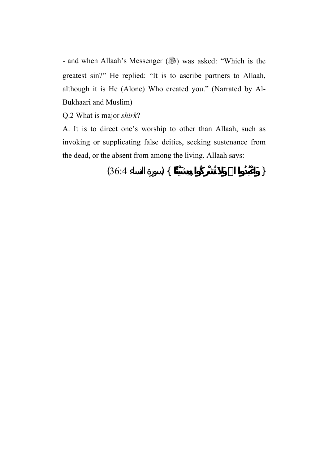- and when Allaah's Messenger (...) was asked: "Which is the greatest sin?" He replied: "It is to ascribe partners to Allaah, although it is He (Alone) Who created you." (Narrated by Al-Bukhaari and Muslim)

Q.2 What is major *shirk*?

A. It is to direct one's worship to other than Allaah, such as invoking or supplicating false deities, seeking sustenance from the dead, or the absent from among the living. Allaah says:

$$
(36.4) \quad \big\}
$$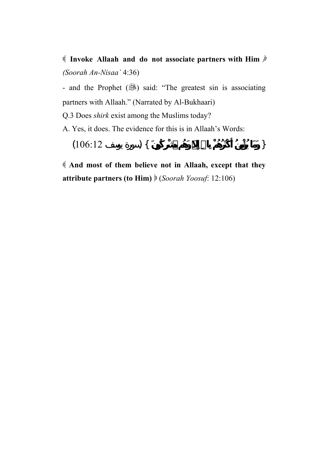**Invoke Allaah and do not associate partners with Him** *(Soorah An-Nisaa`* 4:36)

- and the Prophet (...) said: "The greatest sin is associating partners with Allaah." (Narrated by Al-Bukhaari)

Q.3 Does *shirk* exist among the Muslims today?

A. Yes, it does. The evidence for this is in Allaah's Words:

 $\{106:12 \}$ 

 **And most of them believe not in Allaah, except that they attribute partners (to Him)** (*Soorah Yoosuf*: 12:106)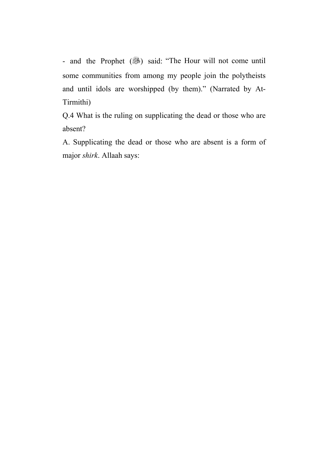- and the Prophet (38) said: "The Hour will not come until some communities from among my people join the polytheists and until idols are worshipped (by them)." (Narrated by At-Tirmithi)

Q.4 What is the ruling on supplicating the dead or those who are absent?

A. Supplicating the dead or those who are absent is a form of major *shirk*. Allaah says: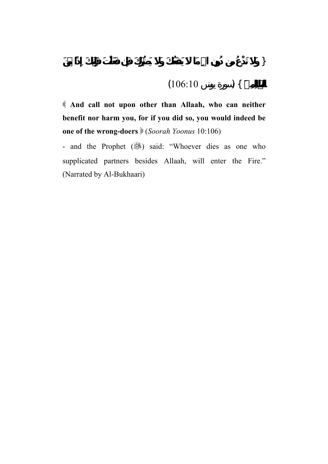$$
(106:10) \qquad \qquad \text{)}
$$

 **And call not upon other than Allaah, who can neither benefit nor harm you, for if you did so, you would indeed be one of the wrong-doers**  $\mathcal{E}(Soorah\ Yoonus\ 10:106)$ 

- and the Prophet (...) said: "Whoever dies as one who supplicated partners besides Allaah, will enter the Fire." (Narrated by Al-Bukhaari)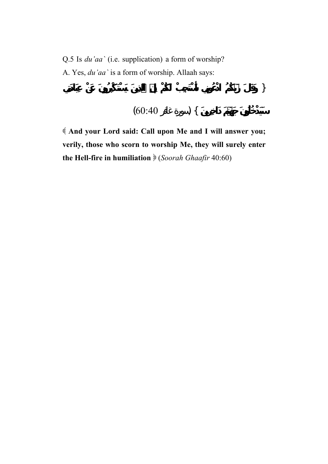Q.5 Is *du'aa`* (i.e. supplication) a form of worship? A. Yes, *du'aa`* is a form of worship. Allaah says:

$$
(60:40) \quad \text{) } \{
$$

{ **وَقَالَ رَبُّكُمُ ادْعُونِي أَسْتَجِبْ لَكُمْ إِنَّ الَّذِينَ يَسْتَكْبِرُونَ عِبَادَتِي**

 **And your Lord said: Call upon Me and I will answer you; verily, those who scorn to worship Me, they will surely enter the Hell-fire in humiliation** (*Soorah Ghaafir* 40:60)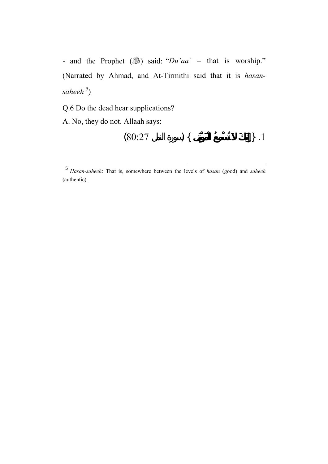- and the Prophet (3) said: "*Du'aa*' – that is worship." (Narrated by Ahmad, and At-Tirmithi said that it is *hasan*saheeh<sup>5</sup>)

Q.6 Do the dead hear supplications?

A. No, they do not. Allaah says:

$$
(80:27) \quad \text{)} \{ \quad \text{)} \quad \text{ } \} \quad .1
$$

l

<sup>5</sup> *Hasan-saheeh*: That is, somewhere between the levels of *hasan* (good) and *saheeh* (authentic).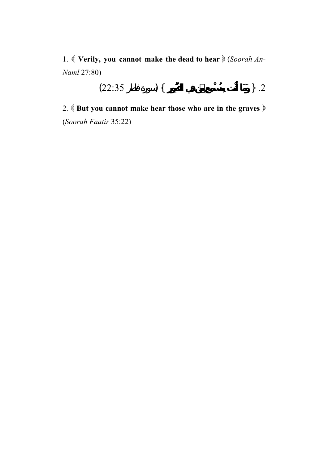1. *Verily, you cannot make the dead to hear*  $\frac{1}{2}$  (*Soorah An-Naml* 27:80)

$$
(22.35) \qquad \qquad \} .2
$$

2. **Example 3 as Set 20** But you cannot make hear those who are in the graves  $\ast$ (*Soorah Faatir* 35:22)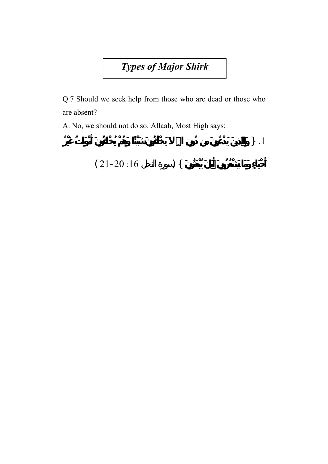*Types of Major Shirk*

Q.7 Should we seek help from those who are dead or those who are absent?

A. No, we should not do so. Allaah, Most High says:

 $\{ \}$ .1

**أَحْيَاءٍ وَمَا يَشْعُرُونَ أَيَّانَ يُبْعَثُونَ** } (سورة النحل :16 21-20 )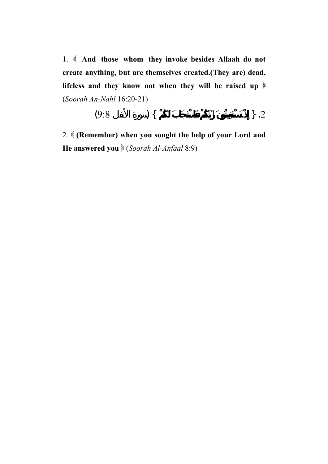1. **And those whom they invoke besides Allaah do not create anything, but are themselves created.(They are) dead, lifeless and they know not when they will be raised up** (*Soorah An-Nahl* 16:20-21)

$$
(9.8) \qquad \qquad \} .2
$$

2. **(Remember) when you sought the help of your Lord and He answered you**  $\big($  *(Soorah Al-Anfaal* 8:9)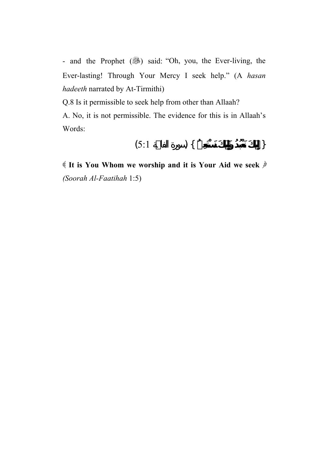- and the Prophet (3) said: "Oh, you, the Ever-living, the Ever-lasting! Through Your Mercy I seek help." (A *hasan hadeeth* narrated by At-Tirmithi)

Q.8 Is it permissible to seek help from other than Allaah?

A. No, it is not permissible. The evidence for this is in Allaah's Words:

$$
(5:1) \qquad \qquad \} \{
$$

 **It is You Whom we worship and it is Your Aid we seek** *(Soorah Al-Faatihah* 1:5)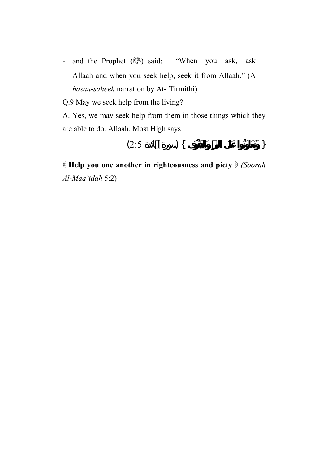- and the Prophet (3) said: "When you ask, ask Allaah and when you seek help, seek it from Allaah." (A *hasan-saheeh* narration by At- Tirmithi)

Q.9 May we seek help from the living?

A. Yes, we may seek help from them in those things which they are able to do. Allaah, Most High says:

$$
(2:5) \quad \{ \quad \}
$$

 **Help you one another in righteousness and piety**  *(Soorah Al-Maa`idah* 5:2)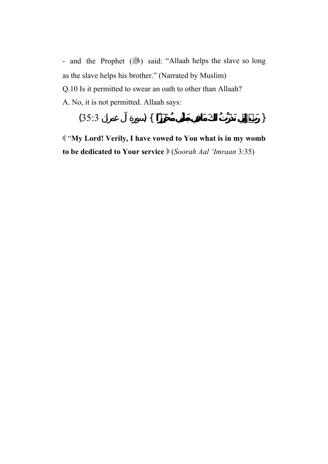- and the Prophet (3) said: "Allaah helps the slave so long as the slave helps his brother." (Narrated by Muslim) Q.10 Is it permitted to swear an oath to other than Allaah? A. No, it is not permitted. Allaah says:

$$
(35:3) \qquad \qquad \} \{
$$

 "**My Lord! Verily, I have vowed to You what is in my womb to be dedicated to Your service** (*Soorah Aal 'Imraan* 3:35)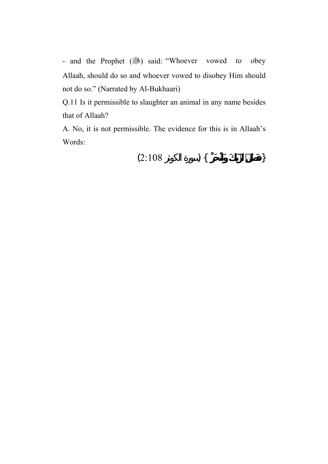- and the Prophet (3) said: "Whoever vowed to obey Allaah, should do so and whoever vowed to disobey Him should not do so." (Narrated by Al-Bukhaari)

Q.11 Is it permissible to slaughter an animal in any name besides that of Allaah?

A. No, it is not permissible. The evidence for this is in Allaah's Words:

$$
(2:108) \qquad \qquad \} \{ \qquad \qquad \}
$$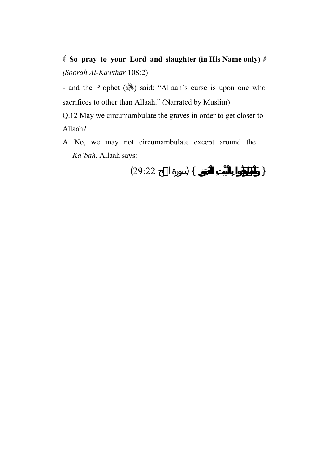**So pray to your Lord and slaughter (in His Name only)** *(Soorah Al-Kawthar* 108:2)

- and the Prophet (3) said: "Allaah's curse is upon one who sacrifices to other than Allaah." (Narrated by Muslim)

Q.12 May we circumambulate the graves in order to get closer to Allaah?

A. No, we may not circumambulate except around the *Ka'bah*. Allaah says:

$$
(29:22) \qquad \qquad \} \{
$$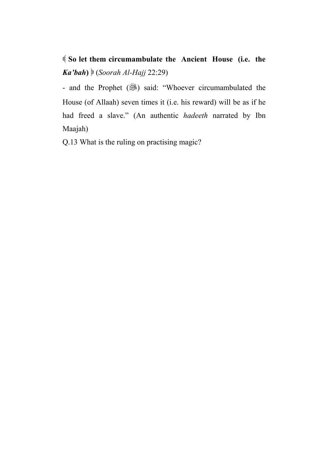**So let them circumambulate the Ancient House (i.e. the**  *Ka'bah***)** (*Soorah Al-Hajj* 22:29)

- and the Prophet (...) said: "Whoever circumambulated the House (of Allaah) seven times it (i.e. his reward) will be as if he had freed a slave." (An authentic *hadeeth* narrated by Ibn Maajah)

Q.13 What is the ruling on practising magic?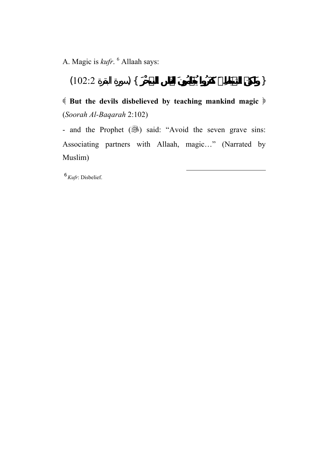A. Magic is *kufr*. <sup>6</sup> Allaah says:

{ **وَلَكِنَّ الشَّيَاطِينَ كَفَرُوا يُعَلِّمُونَ النَّاس السِّحْرَ** } (سورة البقرة 102:2)

 **But the devils disbelieved by teaching mankind magic** (*Soorah Al-Baqarah* 2:102)

- and the Prophet (3) said: "Avoid the seven grave sins: Associating partners with Allaah, magic…" (Narrated by Muslim)

 $\overline{a}$ 

<sup>6</sup> *Kufr*: Disbelief.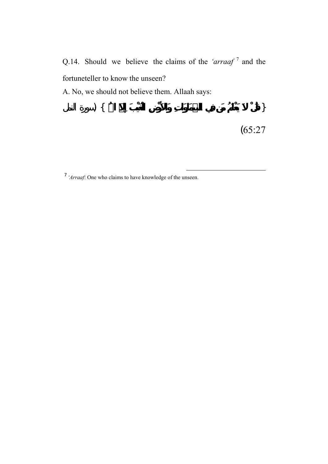Q.14. Should we believe the claims of the *'arraaf* <sup>7</sup> and the fortuneteller to know the unseen?

A. No, we should not believe them. Allaah says:

$$
) \{ \qquad \qquad \}
$$

 $\overline{a}$ 

<sup>&</sup>lt;sup>7</sup> 'Arraaf: One who claims to have knowledge of the unseen.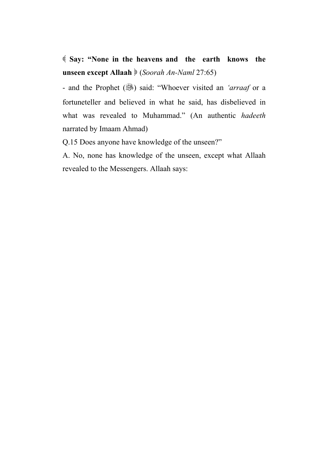**Say: "None in the heavens and the earth knows the unseen except Allaah** (*Soorah An-Naml* 27:65)

- and the Prophet (,...) said: "Whoever visited an *'arraaf* or a fortuneteller and believed in what he said, has disbelieved in what was revealed to Muhammad." (An authentic *hadeeth* narrated by Imaam Ahmad)

Q.15 Does anyone have knowledge of the unseen?"

A. No, none has knowledge of the unseen, except what Allaah revealed to the Messengers. Allaah says: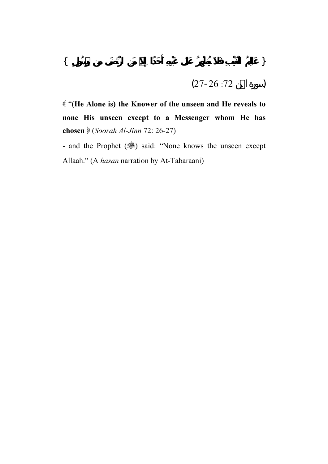$$
(27-26:72) \t(27-2)
$$

 "(**He Alone is) the Knower of the unseen and He reveals to none His unseen except to a Messenger whom He has chosen** (*Soorah Al-Jinn* 72: 26-27)

- and the Prophet (...) said: "None knows the unseen except Allaah." (A *hasan* narration by At-Tabaraani)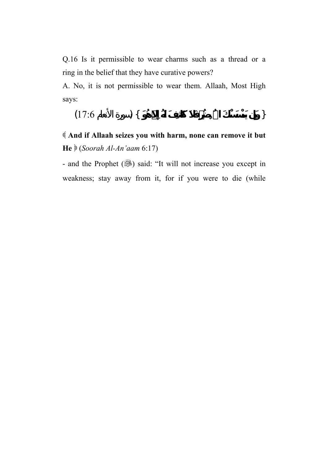Q.16 Is it permissible to wear charms such as a thread or a ring in the belief that they have curative powers?

A. No, it is not permissible to wear them. Allaah, Most High says:

$$
(17.6) \qquad ) \{
$$

 **And if Allaah seizes you with harm, none can remove it but He** (*Soorah Al-An'aam* 6:17)

- and the Prophet () said: "It will not increase you except in weakness; stay away from it, for if you were to die (while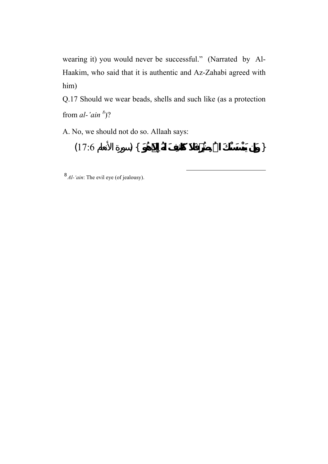wearing it) you would never be successful." (Narrated by Al-Haakim, who said that it is authentic and Az-Zahabi agreed with him)

Q.17 Should we wear beads, shells and such like (as a protection from  $al$ -'ain<sup>8</sup>)?

A. No, we should not do so. Allaah says:

$$
(17.6) \quad \textcolor{blue}{\big\}
$$

 $\overline{a}$ 

<sup>8</sup> *Al-'ain*: The evil eye (of jealousy).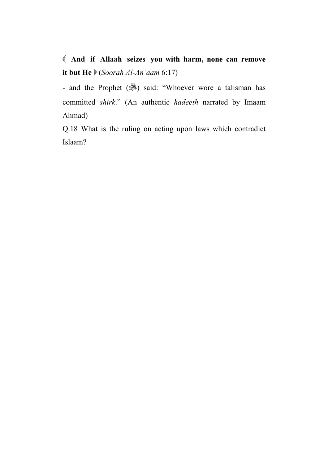**And if Allaah seizes you with harm, none can remove it but He** (*Soorah Al-An'aam* 6:17)

- and the Prophet (...) said: "Whoever wore a talisman has committed *shirk*." (An authentic *hadeeth* narrated by Imaam Ahmad)

Q.18 What is the ruling on acting upon laws which contradict Islaam?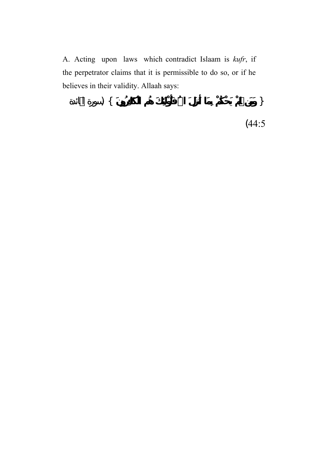A. Acting upon laws which contradict Islaam is *kufr*, if the perpetrator claims that it is permissible to do so, or if he believes in their validity. Allaah says:

$$
\begin{array}{c}\n \left\{\n \begin{array}{c}\n \left(44:5\right)\n \end{array}\n \right.\n \end{array}
$$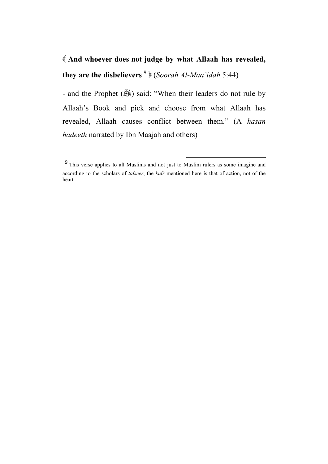## **And whoever does not judge by what Allaah has revealed, they are the disbelievers** <sup>9</sup> (*Soorah Al-Maa`idah* 5:44)

- and the Prophet ( $\frac{1}{2}$ ) said: "When their leaders do not rule by Allaah's Book and pick and choose from what Allaah has revealed, Allaah causes conflict between them." (A *hasan hadeeth* narrated by Ibn Maajah and others)

 $\overline{a}$ 

<sup>&</sup>lt;sup>9</sup> This verse applies to all Muslims and not just to Muslim rulers as some imagine and according to the scholars of *tafseer*, the *kufr* mentioned here is that of action, not of the heart.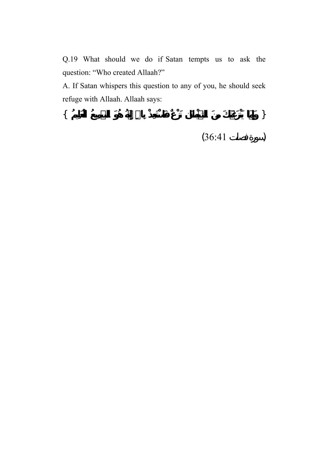Q.19 What should we do if Satan tempts us to ask the question: "Who created Allaah?"

A. If Satan whispers this question to any of you, he should seek refuge with Allaah. Allaah says:

{ **وَإِمَّا يَنْزَغَنَّكَ مِنَ الشَّيْطَانِ نَزْغٌ فَاسْتَعِذْ بِااللهِ إِنَّهُ هُوَ السَّمِيعُ الْعَلِيمُ** }

 $(36:41)$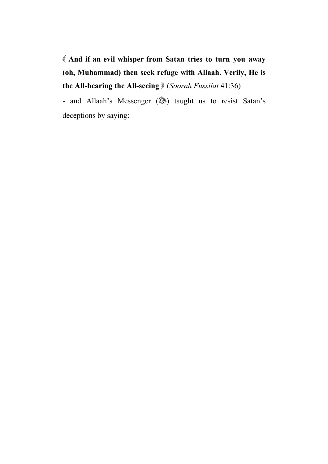**And if an evil whisper from Satan tries to turn you away (oh, Muhammad) then seek refuge with Allaah. Verily, He is the All-hearing the All-seeing**  (*Soorah Fussilat* 41:36)

- and Allaah's Messenger (...) taught us to resist Satan's deceptions by saying: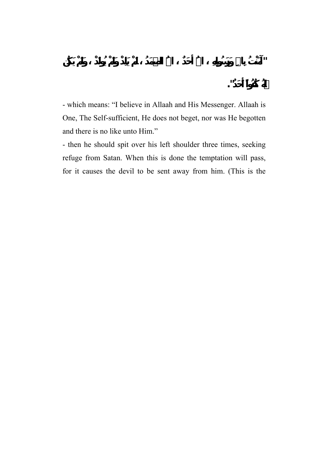- which means: "I believe in Allaah and His Messenger. Allaah is One, The Self-sufficient, He does not beget, nor was He begotten and there is no like unto Him."

- then he should spit over his left shoulder three times, seeking refuge from Satan. When this is done the temptation will pass, for it causes the devil to be sent away from him. (This is the

**لَّهُ كُفُواً أَحَ ".**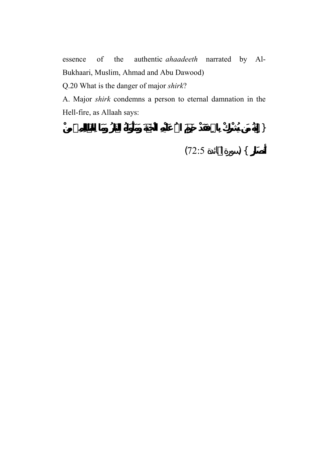essence of the authentic *ahaadeeth* narrated by Al-Bukhaari, Muslim, Ahmad and Abu Dawood)

Q.20 What is the danger of major *shirk*?

A. Major *shirk* condemns a person to eternal damnation in the Hell-fire, as Allaah says:

 $\}$ **أَنصَارٍ** } (سورة المائدة 72:5)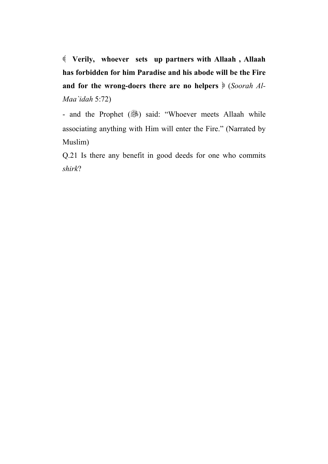**Verily, whoever sets up partners with Allaah , Allaah has forbidden for him Paradise and his abode will be the Fire**  and for the wrong-doers there are no helpers  $\frac{1}{2}$  (*Soorah Al-Maa`idah* 5:72)

- and the Prophet (...) said: "Whoever meets Allaah while associating anything with Him will enter the Fire." (Narrated by Muslim)

Q.21 Is there any benefit in good deeds for one who commits *shirk*?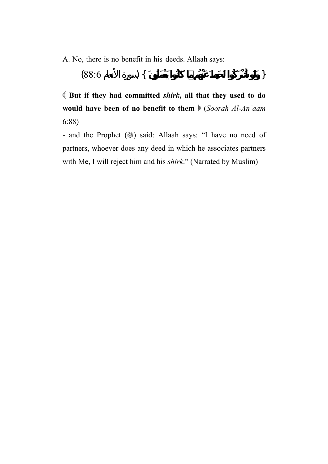A. No, there is no benefit in his deeds. Allaah says:

$$
(88.6) \quad \textcolor{blue}{\big\}
$$

 **But if they had committed** *shirk***, all that they used to do would have been of no benefit to them** (*Soorah Al-An'aam* 6:88)

- and the Prophet (.) said: Allaah says: "I have no need of partners, whoever does any deed in which he associates partners with Me, I will reject him and his *shirk*." (Narrated by Muslim)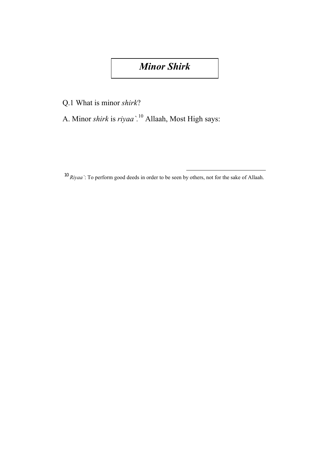## *Minor Shirk*

Q.1 What is minor *shirk*?

A. Minor *shirk* is *riyaa`.*10 Allaah, Most High says:

 $\overline{a}$ 

<sup>10</sup> *Riyaa`*: To perform good deeds in order to be seen by others, not for the sake of Allaah.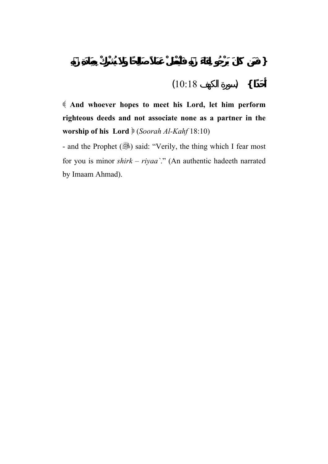**حَدًا }** (سورة الكهف 10:18)

 **And whoever hopes to meet his Lord, let him perform righteous deeds and not associate none as a partner in the worship of his Lord** (*Soorah Al-Kahf* 18:10)

- and the Prophet (...) said: "Verily, the thing which I fear most for you is minor *shirk* – *riyaa`*." (An authentic hadeeth narrated by Imaam Ahmad).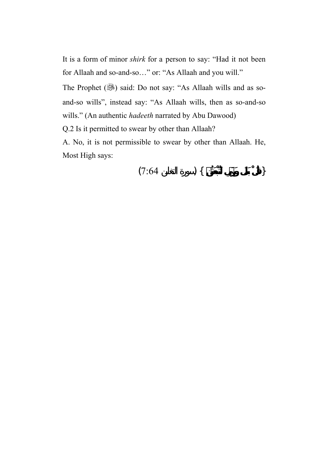It is a form of minor *shirk* for a person to say: "Had it not been for Allaah and so-and-so…" or: "As Allaah and you will."

The Prophet (.) said: Do not say: "As Allaah wills and as soand-so wills", instead say: "As Allaah wills, then as so-and-so wills." (An authentic *hadeeth* narrated by Abu Dawood)

Q.2 Is it permitted to swear by other than Allaah?

A. No, it is not permissible to swear by other than Allaah. He, Most High says:

$$
(7:64) \quad \text{)} \quad \{ \quad \text{)}
$$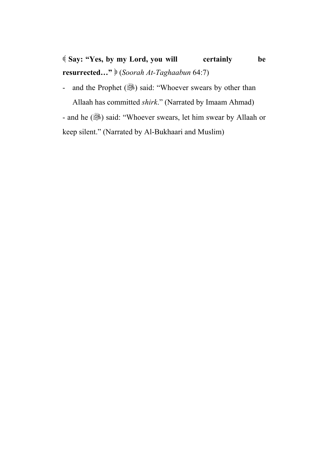**Say: "Yes, by my Lord, you will certainly be resurrected…"** (*Soorah At-Taghaabun* 64:7)

- and the Prophet (3) said: "Whoever swears by other than Allaah has committed *shirk*." (Narrated by Imaam Ahmad)

- and he (...) said: "Whoever swears, let him swear by Allaah or keep silent." (Narrated by Al-Bukhaari and Muslim)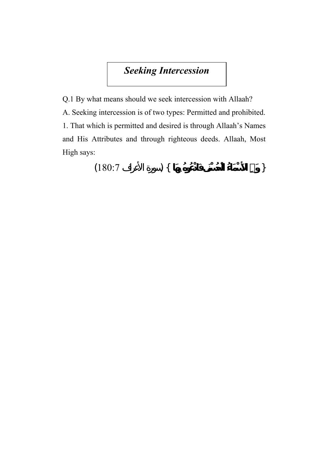## *Seeking Intercession*

Q.1 By what means should we seek intercession with Allaah? A. Seeking intercession is of two types: Permitted and prohibited. 1. That which is permitted and desired is through Allaah's Names and His Attributes and through righteous deeds. Allaah, Most High says:

$$
(180:7) \qquad \qquad \} \{
$$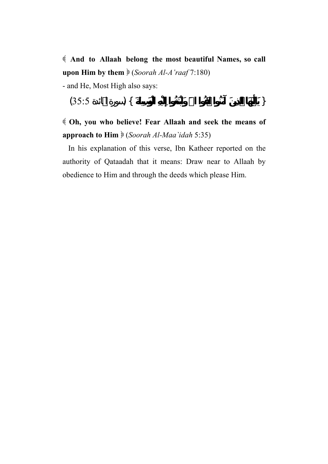**And to Allaah belong the most beautiful Names, so call upon Him by them** (*Soorah Al-A'raaf* 7:180) - and He, Most High also says:

$$
(35.5) \qquad ) \{ \qquad \qquad \}
$$

 **Oh, you who believe! Fear Allaah and seek the means of approach to Him**  (*Soorah Al-Maa`idah* 5:35)

 In his explanation of this verse, Ibn Katheer reported on the authority of Qataadah that it means: Draw near to Allaah by obedience to Him and through the deeds which please Him.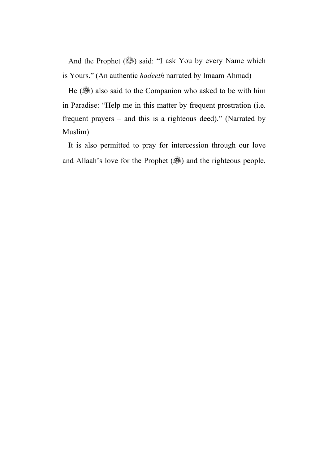And the Prophet (...) said: "I ask You by every Name which is Yours." (An authentic *hadeeth* narrated by Imaam Ahmad)

He (.) also said to the Companion who asked to be with him in Paradise: "Help me in this matter by frequent prostration (i.e. frequent prayers – and this is a righteous deed)." (Narrated by Muslim)

 It is also permitted to pray for intercession through our love and Allaah's love for the Prophet  $(\mathbb{R})$  and the righteous people,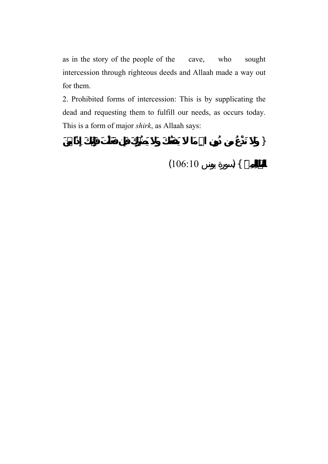as in the story of the people of the cave, who sought intercession through righteous deeds and Allaah made a way out for them.

2. Prohibited forms of intercession: This is by supplicating the dead and requesting them to fulfill our needs, as occurs today. This is a form of major *shirk*, as Allaah says:

{ **وَلاَ تَدْعُ مِن دُونِ االلهِ مَا يَنفَعُكَ وَلاَ يَضُرُّكَ فَإِن فَعَلْتَ فَإِنَّكَ إِذًا مِّنَ** 

 $(106:10)$  } {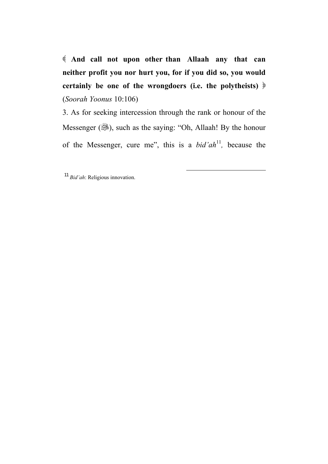**And call not upon other than Allaah any that can neither profit you nor hurt you, for if you did so, you would certainly be one of the wrongdoers (i.e. the polytheists)** (*Soorah Yoonus* 10:106)

3. As for seeking intercession through the rank or honour of the Messenger (3), such as the saying: "Oh, Allaah! By the honour of the Messenger, cure me", this is a *bid'ah*<sup>11</sup>*,* because the

 $\overline{\phantom{a}}$ 

<sup>11</sup> *Bid'ah*: Religious innovation.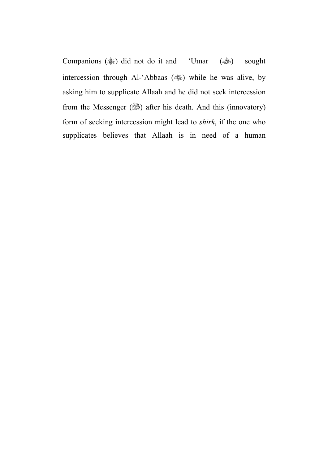Companions ( $\gg$ ) did not do it and 'Umar ( $\gg$ ) sought intercession through Al-'Abbaas (( $\gg$ ) while he was alive, by asking him to supplicate Allaah and he did not seek intercession from the Messenger  $(\frac{1}{2})$  after his death. And this (innovatory) form of seeking intercession might lead to *shirk*, if the one who supplicates believes that Allaah is in need of a human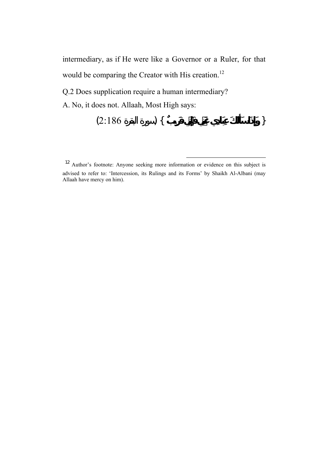intermediary, as if He were like a Governor or a Ruler, for that would be comparing the Creator with His creation.<sup>12</sup>

Q.2 Does supplication require a human intermediary?

A. No, it does not. Allaah, Most High says:

$$
(2:186) \quad \textcolor{blue}{\big\}
$$

 $\overline{\phantom{a}}$ 

 $12$  Author's footnote: Anyone seeking more information or evidence on this subject is advised to refer to: 'Intercession, its Rulings and its Forms' by Shaikh Al-Albani (may Allaah have mercy on him).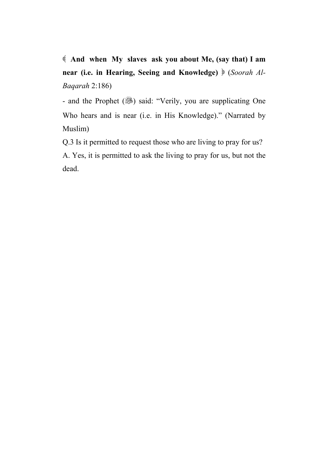**And when My slaves ask you about Me, (say that) I am near (i.e. in Hearing, Seeing and Knowledge)** (*Soorah Al-Baqarah* 2:186)

- and the Prophet (...) said: "Verily, you are supplicating One Who hears and is near (i.e. in His Knowledge)." (Narrated by Muslim)

Q.3 Is it permitted to request those who are living to pray for us? A. Yes, it is permitted to ask the living to pray for us, but not the dead.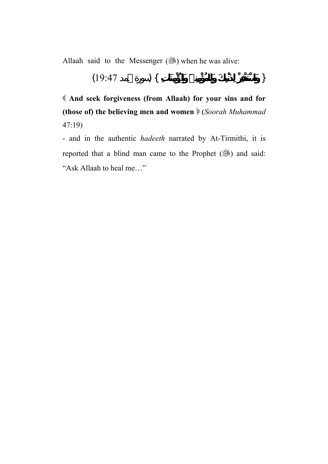Allaah said to the Messenger  $(\mathbb{R})$  when he was alive:

$$
(19:47) \quad \{ \quad \}
$$

 **And seek forgiveness (from Allaah) for your sins and for (those of) the believing men and women** (*Soorah Muhammad* 47:19)

- and in the authentic *hadeeth* narrated by At-Tirmithi, it is reported that a blind man came to the Prophet (...) and said: "Ask Allaah to heal me…"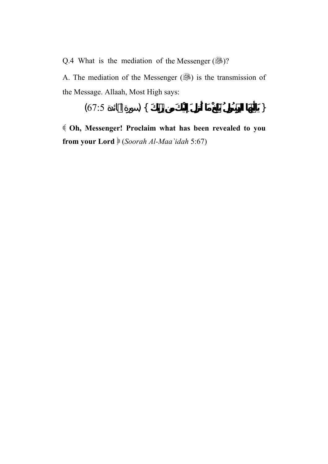Q.4 What is the mediation of the Messenger  $(\frac{56}{12})$ ?

A. The mediation of the Messenger (3) is the transmission of the Message. Allaah, Most High says:

$$
(67.5) \quad \big\}
$$

 **Oh, Messenger! Proclaim what has been revealed to you from your Lord** (*Soorah Al-Maa`idah* 5:67)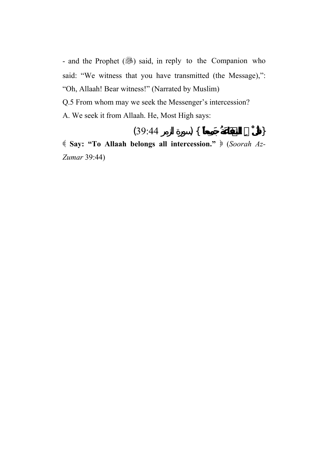- and the Prophet (...) said, in reply to the Companion who said: "We witness that you have transmitted (the Message),": "Oh, Allaah! Bear witness!" (Narrated by Muslim) Q.5 From whom may we seek the Messenger's intercession? A. We seek it from Allaah. He, Most High says:

$$
(39:44) \quad \text{)} \quad \{ \quad \text{)}
$$

 **Say: "To Allaah belongs all intercession."** (*Soorah Az-Zumar* 39:44)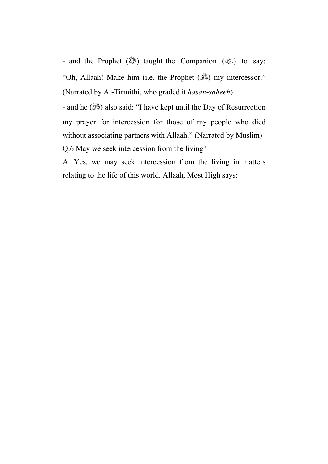- and the Prophet (...) taught the Companion ( $\gg$ ) to say: "Oh, Allaah! Make him (i.e. the Prophet (3) my intercessor." (Narrated by At-Tirmithi, who graded it *hasan-saheeh*)

- and he ( $\mathcal{L}$ ) also said: "I have kept until the Day of Resurrection my prayer for intercession for those of my people who died without associating partners with Allaah." (Narrated by Muslim) Q.6 May we seek intercession from the living?

A. Yes, we may seek intercession from the living in matters relating to the life of this world. Allaah, Most High says: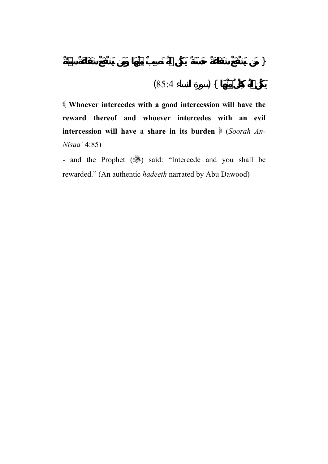$$
(85.4) \quad \text{) } \{
$$

 **Whoever intercedes with a good intercession will have the reward thereof and whoever intercedes with an evil**  intercession will have a share in its burden  $\frac{1}{2}$  (*Soorah An*-*Nisaa`* 4:85)

- and the Prophet (3) said: "Intercede and you shall be rewarded." (An authentic *hadeeth* narrated by Abu Dawood)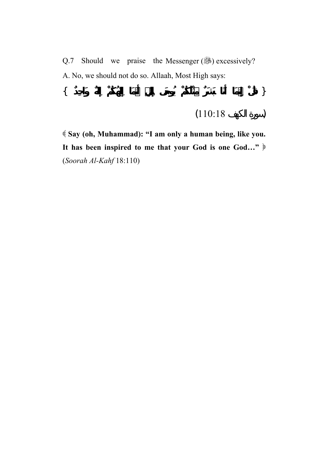Q.7 Should we praise the Messenger  $(\frac{65}{10})$  excessively? A. No, we should not do so. Allaah, Most High says: { **قُلْ إِنَّمَا أَنَا بَشَرٌ مِّثْلُكُمْ يُوحَى إِلَيَّ أَنَّمَا إِلَهُكُمْ إِلَهٌ وَاحِدٌ** }

$$
(110:18) \qquad \qquad )
$$

 **Say (oh, Muhammad): "I am only a human being, like you. It has been inspired to me that your God is one God…"** (*Soorah Al-Kahf* 18:110)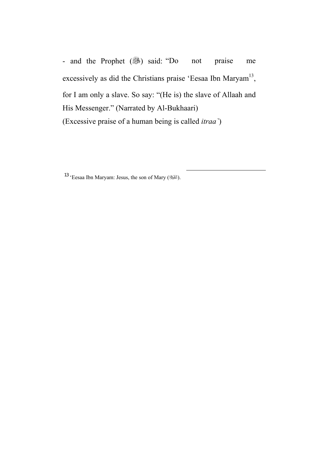- and the Prophet (3) said: "Do not praise me excessively as did the Christians praise 'Eesaa Ibn Maryam<sup>13</sup>, for I am only a slave. So say: "(He is) the slave of Allaah and His Messenger." (Narrated by Al-Bukhaari) (Excessive praise of a human being is called *itraa`*)

 $\overline{\phantom{a}}$ 

13 'Eesaa Ibn Maryam: Jesus, the son of Mary ( $\mathbb{H}$ ).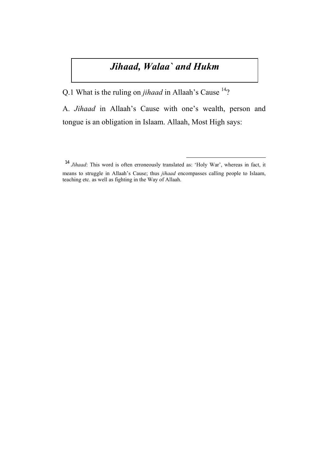## *Jihaad, Walaa` and Hukm*

Q.1 What is the ruling on *jihaad* in Allaah's Cause <sup>14</sup>?

A. *Jihaad* in Allaah's Cause with one's wealth, person and tongue is an obligation in Islaam. Allaah, Most High says:

 $\overline{\phantom{a}}$ 

<sup>14</sup> *Jihaad*: This word is often erroneously translated as: 'Holy War', whereas in fact, it means to struggle in Allaah's Cause; thus *jihaad* encompasses calling people to Islaam, teaching etc. as well as fighting in the Way of Allaah.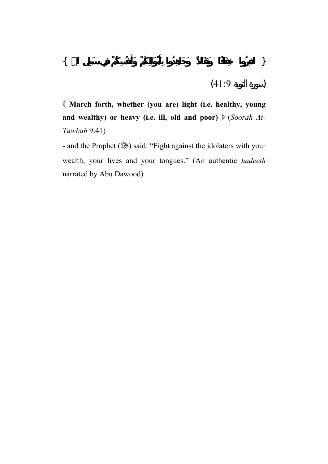**March forth, whether (you are) light (i.e. healthy, young**  and wealthy) or heavy (i.e. ill, old and poor)  $\frac{1}{2}$  (*Soorah At*-*Tawbah* 9:41)

- and the Prophet (<a><a>S</a>)</a> said: "Fight against the idolaters with your wealth, your lives and your tongues." (An authentic *hadeeth* narrated by Abu Dawood)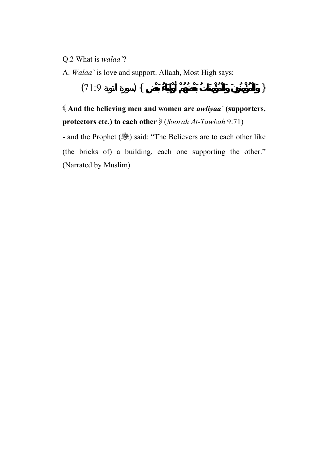- Q.2 What is *walaa`*?
- A. *Walaa`* is love and support. Allaah, Most High says:

{ **وَالْمُؤْمِنُونَ وَالْمُؤْمِنَاتُ بَعْضُهُمْ أَوْلِيَاءُ بَعْضٍ** } (سورة التوبة 71:9)

 **And the believing men and women are** *awliyaa`* **(supporters, protectors etc.) to each other** (*Soorah At-Tawbah* 9:71)

- and the Prophet (...) said: "The Believers are to each other like (the bricks of) a building, each one supporting the other." (Narrated by Muslim)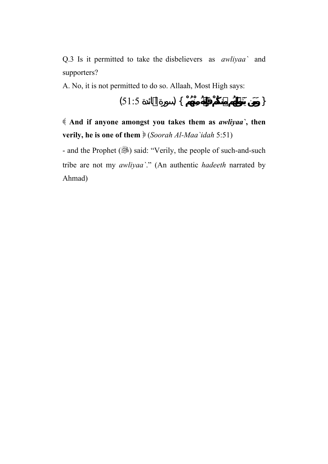Q.3 Is it permitted to take the disbelievers as *awliyaa`* and supporters?

A. No, it is not permitted to do so. Allaah, Most High says:

$$
(51:5) \quad \textcolor{blue}{\big\}
$$

 **And if anyone amongst you takes them as** *awliyaa`***, then verily, he is one of them** (*Soorah Al-Maa`idah* 5:51)

- and the Prophet (...) said: "Verily, the people of such-and-such tribe are not my *awliyaa`*." (An authentic *hadeeth* narrated by Ahmad)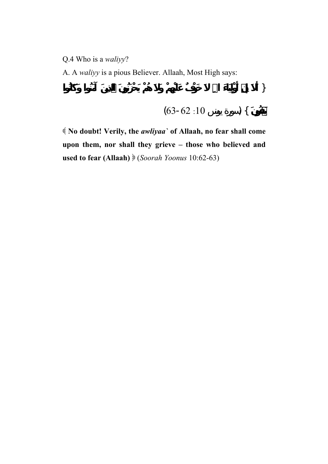Q.4 Who is a *waliyy*?

A. A *waliyy* is a pious Believer. Allaah, Most High says:

$$
(63-62:10) \qquad ) \{
$$

 **No doubt! Verily, the** *awliyaa`* **of Allaah, no fear shall come upon them, nor shall they grieve – those who believed and used to fear (Allaah)** (*Soorah Yoonus* 10:62-63)

{ **أَلاَ إِنَّ أَوْلِيَاءَ االلهِ خَوْفٌ عَلَيْهِمْ وَلاَ هُمْ يَحْزَنُونَ الَّذِينَ آمَنُوا وَكَانُوا**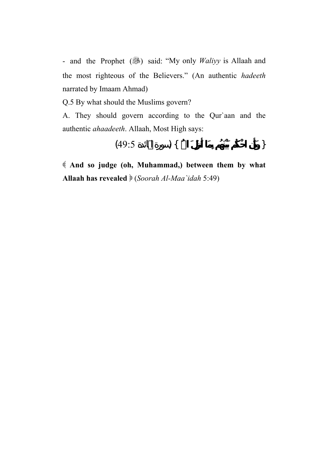- and the Prophet (3) said: "My only *Waliyy* is Allaah and the most righteous of the Believers." (An authentic *hadeeth* narrated by Imaam Ahmad)

Q.5 By what should the Muslims govern?

A. They should govern according to the Qur`aan and the authentic *ahaadeeth*. Allaah, Most High says:

$$
(49:5) \quad \{ \quad \}
$$

 **And so judge (oh, Muhammad,) between them by what Allaah has revealed** (*Soorah Al-Maa`idah* 5:49)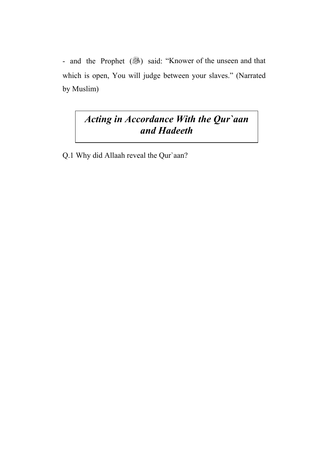- and the Prophet (3) said: "Knower of the unseen and that which is open, You will judge between your slaves." (Narrated by Muslim)

## *Acting in Accordance With the Qur`aan and Hadeeth*

Q.1 Why did Allaah reveal the Qur`aan?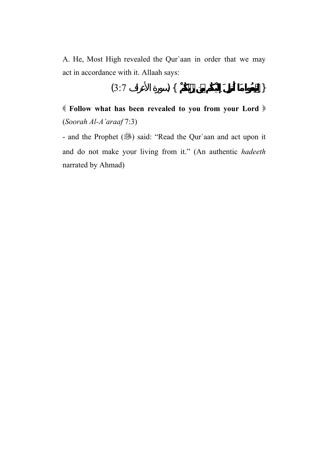A. He, Most High revealed the Qur`aan in order that we may act in accordance with it. Allaah says:

$$
(3:7) \qquad \qquad \} \{
$$

 **Follow what has been revealed to you from your Lord** (*Soorah Al-A'araaf* 7:3)

- and the Prophet (, said: "Read the Qur`aan and act upon it and do not make your living from it." (An authentic *hadeeth* narrated by Ahmad)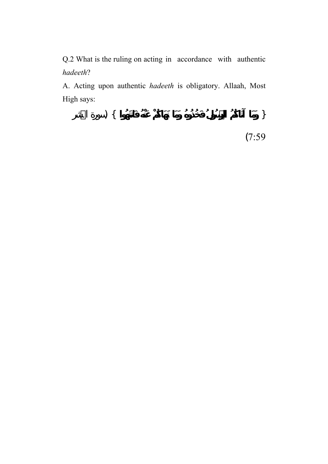Q.2 What is the ruling on acting in accordance with authentic *hadeeth*?

A. Acting upon authentic *hadeeth* is obligatory. Allaah, Most High says:

$$
\big) \; \{ \;
$$

(7:59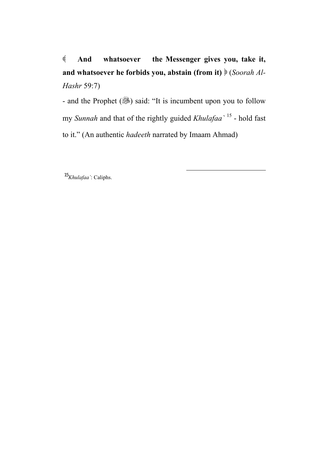**And whatsoever the Messenger gives you, take it, and whatsoever he forbids you, abstain (from it)** (*Soorah Al-Hashr* 59:7)

- and the Prophet (...) said: "It is incumbent upon you to follow my *Sunnah* and that of the rightly guided *Khulafaa`* <sup>15</sup> - hold fast to it." (An authentic *hadeeth* narrated by Imaam Ahmad)

 $\overline{\phantom{a}}$ 

<sup>15</sup>*Khulafaa`*: Caliphs.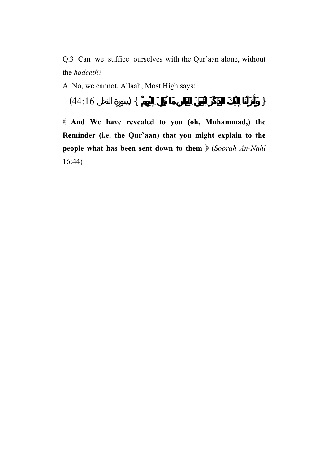Q.3 Can we suffice ourselves with the Qur`aan alone, without the *hadeeth*?

A. No, we cannot. Allaah, Most High says:

$$
(44:16 \t) \{
$$

 **And We have revealed to you (oh, Muhammad,) the Reminder (i.e. the Qur`aan) that you might explain to the people what has been sent down to them**  $\mathcal{E}$  (*Soorah An-Nahl* 16:44)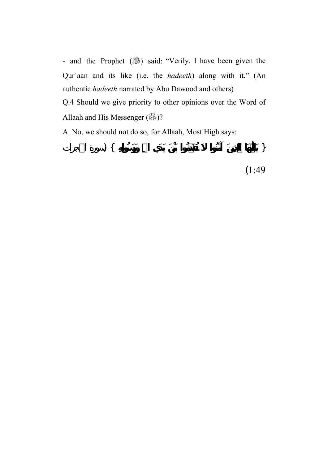- and the Prophet (3) said: "Verily, I have been given the Qur`aan and its like (i.e. the *hadeeth*) along with it." (An authentic *hadeeth* narrated by Abu Dawood and others) Q.4 Should we give priority to other opinions over the Word of Allaah and His Messenger (28)?

A. No, we should not do so, for Allaah, Most High says:

{ **يَاأَيُّهَا الَّذِينَ آمَنُوا تُقَدِّمُوا بَيْنَ يَدَيِ االلهِ وَرَسُولِهِ** } (سورة الحجرات (1:49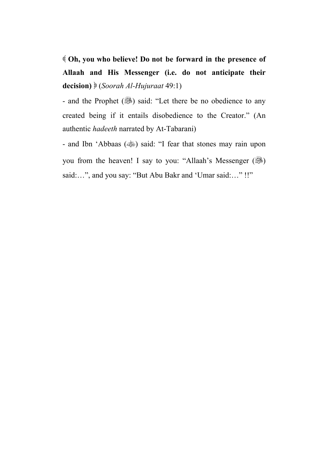**Oh, you who believe! Do not be forward in the presence of Allaah and His Messenger (i.e. do not anticipate their decision)**  (*Soorah Al-Hujuraat* 49:1)

- and the Prophet (3) said: "Let there be no obedience to any created being if it entails disobedience to the Creator." (An authentic *hadeeth* narrated by At-Tabarani)

- and Ibn 'Abbaas () said: "I fear that stones may rain upon you from the heaven! I say to you: "Allaah's Messenger  $(\frac{65}{10})$ said:...", and you say: "But Abu Bakr and 'Umar said:..." !!"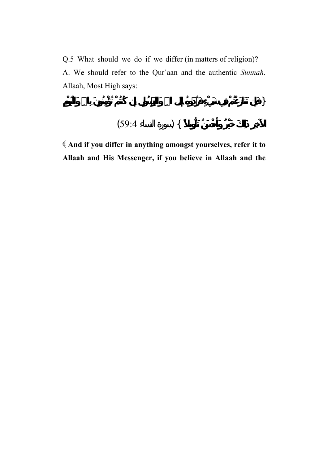Q.5 What should we do if we differ (in matters of religion)? A. We should refer to the Qur`aan and the authentic *Sunnah*. Allaah, Most High says:

{ **فَإِن تَنَازَعْتُمْ فِي شَيْءٍ فَرُدُّوهُ إِلَى االلهِ وَالرَّسُولِ إِن كُنتُمْ تُؤْمِنُونَ بِااللهِ وَالْيَوْمِ** 

$$
(59.4) \quad \big\}
$$

 **And if you differ in anything amongst yourselves, refer it to Allaah and His Messenger, if you believe in Allaah and the**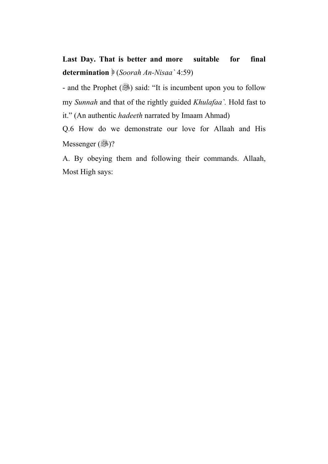**Last Day. That is better and more suitable for final determination** (*Soorah An-Nisaa`* 4:59)

- and the Prophet (...) said: "It is incumbent upon you to follow my *Sunnah* and that of the rightly guided *Khulafaa`.* Hold fast to it." (An authentic *hadeeth* narrated by Imaam Ahmad)

Q.6 How do we demonstrate our love for Allaah and His Messenger  $(\mathbb{R})$ ?

A. By obeying them and following their commands. Allaah, Most High says: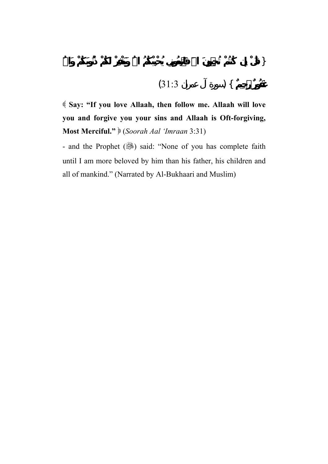$$
(31:3) \qquad ) \{
$$

 **Say: "If you love Allaah, then follow me. Allaah will love you and forgive you your sins and Allaah is Oft-forgiving, Most Merciful."** (*Soorah Aal 'Imraan* 3:31)

- and the Prophet (, ) said: "None of you has complete faith until I am more beloved by him than his father, his children and all of mankind." (Narrated by Al-Bukhaari and Muslim)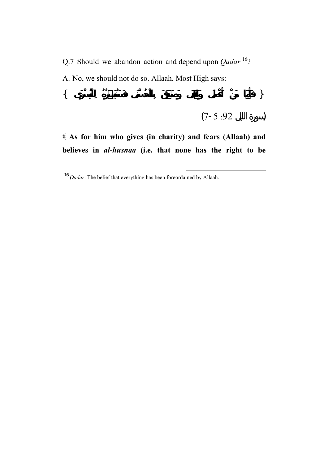Q.7 Should we abandon action and depend upon *Qadar* <sup>16</sup>? A. No, we should not do so. Allaah, Most High says: { **فَأَمَّا مَنْ أَعْطَى وَاتَّقَى وَصَدَّقَ بِالْحُسْنَى فَسَنُيَسِّرُهُ لِلْيُسْرَى** }

$$
(7-5:92)
$$

 **As for him who gives (in charity) and fears (Allaah) and believes in** *al-husnaa* **(i.e. that none has the right to be** 

 $\overline{\phantom{a}}$ 

<sup>16</sup> *Qadar*: The belief that everything has been foreordained by Allaah.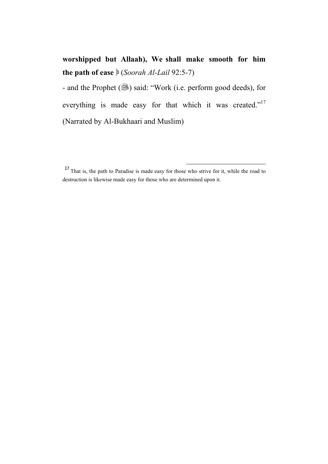**worshipped but Allaah), We shall make smooth for him**  the path of ease  $\frac{1}{2}$  (*Soorah Al-Lail* 92:5-7)

- and the Prophet (...) said: "Work (i.e. perform good deeds), for everything is made easy for that which it was created."<sup>17</sup> (Narrated by Al-Bukhaari and Muslim)

l

 $17$  That is, the path to Paradise is made easy for those who strive for it, while the road to destruction is likewise made easy for those who are determined upon it.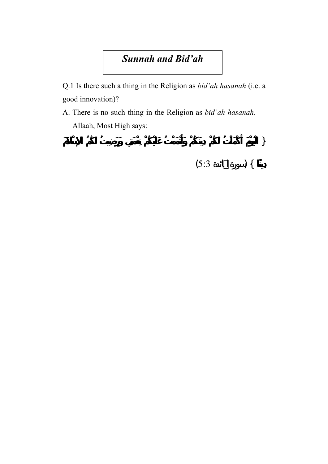## *Sunnah and Bid'ah*

Q.1 Is there such a thing in the Religion as *bid'ah hasanah* (i.e. a good innovation)?

A. There is no such thing in the Religion as *bid'ah hasanah*. Allaah, Most High says:

{ **لْيَوْمَ أَكْمَلْتُ لَكُمْ دِينَكُمْ وَأَتْمَمْتُ عَلَيْكُمْ نِعْمَتِي وَرَضِيتُ لَكُمُ الإِسْلاَمَ دِينًا** } (سورة المائدة 5:3)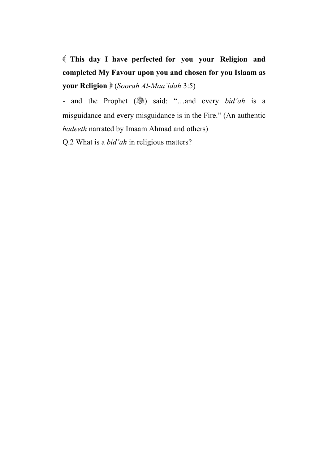**This day I have perfected for you your Religion and completed My Favour upon you and chosen for you Islaam as your Religion** (*Soorah Al-Maa`idah* 3:5)

- and the Prophet (... and: "...and every *bid'ah* is a misguidance and every misguidance is in the Fire." (An authentic *hadeeth* narrated by Imaam Ahmad and others)

Q.2 What is a *bid'ah* in religious matters?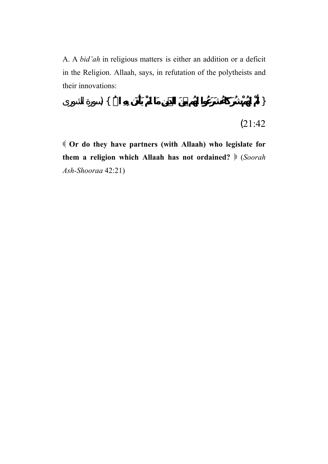A. A *bid'ah* in religious matters is either an addition or a deficit in the Religion. Allaah, says, in refutation of the polytheists and their innovations:

$$
\big) \; \{ \;
$$

(21:42

 **Or do they have partners (with Allaah) who legislate for them a religion which Allaah has not ordained?** (*Soorah Ash-Shooraa* 42:21)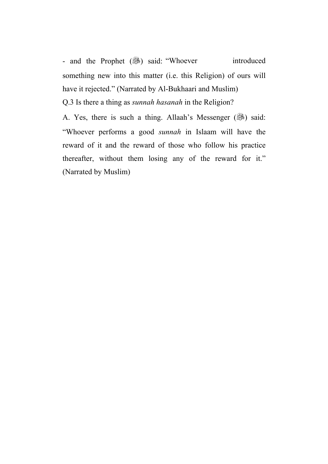- and the Prophet (3) said: "Whoever introduced something new into this matter (i.e. this Religion) of ours will have it rejected." (Narrated by Al-Bukhaari and Muslim) Q.3 Is there a thing as *sunnah hasanah* in the Religion?

A. Yes, there is such a thing. Allaah's Messenger (.... "Whoever performs a good *sunnah* in Islaam will have the reward of it and the reward of those who follow his practice thereafter, without them losing any of the reward for it." (Narrated by Muslim)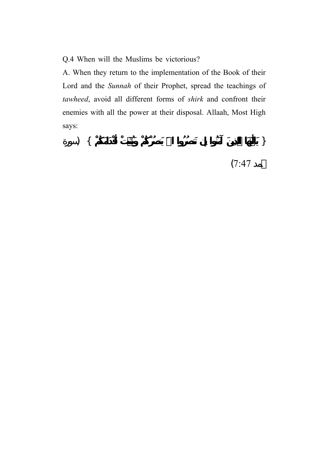Q.4 When will the Muslims be victorious?

A. When they return to the implementation of the Book of their Lord and the *Sunnah* of their Prophet, spread the teachings of *tawheed*, avoid all different forms of *shirk* and confront their enemies with all the power at their disposal. Allaah, Most High says:

{ **يَاأَيُّهَا الَّذِينَ آمَنُوا إِن تَنصُرُوا االلهَ يَنصُرْكُمْ وَيُثَبِّتْ أَقْدَامَكُمْ** } (سورة  $(7:47)$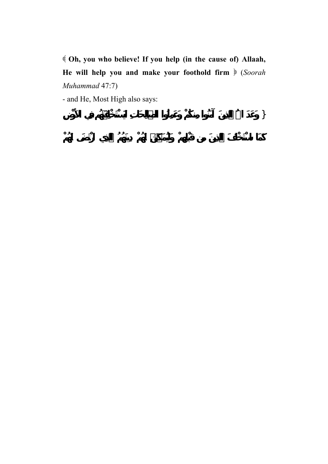**Oh, you who believe! If you help (in the cause of) Allaah, He will help you and make your foothold firm** (*Soorah Muhammad* 47:7)

- and He, Most High also says:

{ **وَعَدَ االلهُ الَّذِينَ آمَنُوا مِنكُمْ وَعَمِلُوا الصَّالِحَاتِ لَيَسْتَخْلِفَنَّهُم فِي الأَرْضِ**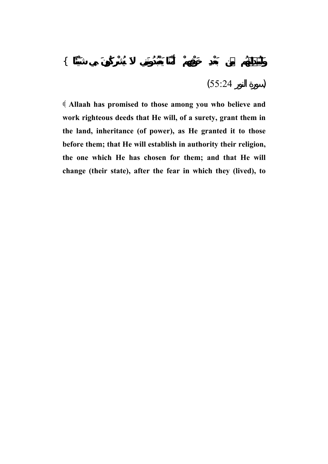$$
(55:24) \qquad \qquad )
$$

 **Allaah has promised to those among you who believe and work righteous deeds that He will, of a surety, grant them in the land, inheritance (of power), as He granted it to those before them; that He will establish in authority their religion, the one which He has chosen for them; and that He will change (their state), after the fear in which they (lived), to**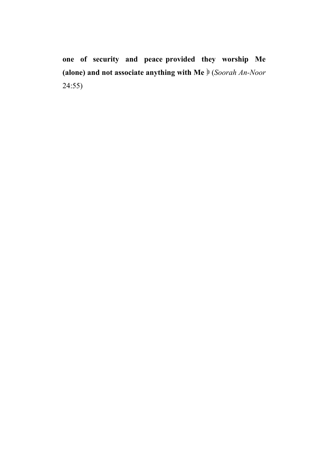**one of security and peace provided they worship Me (alone) and not associate anything with Me** (*Soorah An-Noor* 24:55)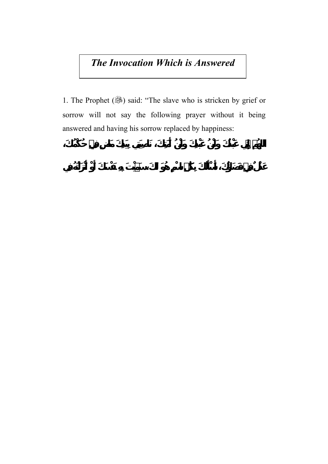## *The Invocation Which is Answered*

1. The Prophet (, said: "The slave who is stricken by grief or sorrow will not say the following prayer without it being answered and having his sorrow replaced by happiness: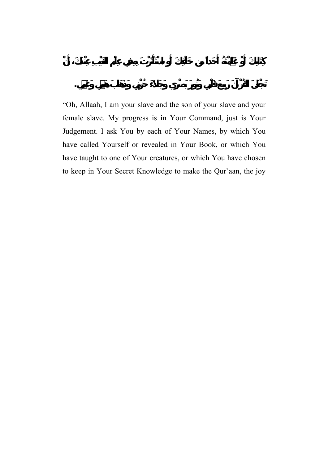"Oh, Allaah, I am your slave and the son of your slave and your female slave. My progress is in Your Command, just is Your Judgement. I ask You by each of Your Names, by which You have called Yourself or revealed in Your Book, or which You have taught to one of Your creatures, or which You have chosen to keep in Your Secret Knowledge to make the Qur`aan, the joy

**تَجْعَلَ القُرْآنَ رَبِيعَ قَلْبِي وَنُورَ بَصْرِي وَجَلاَءَ حُزْنِي وَذَهَابَ هَمِّي وَغَمِّي.**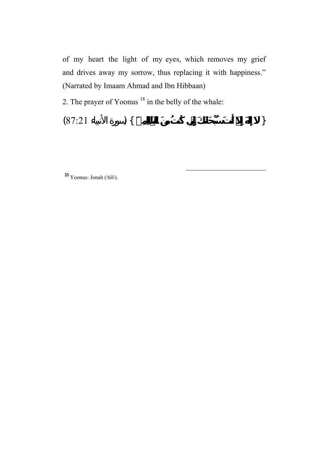of my heart the light of my eyes, which removes my grief and drives away my sorrow, thus replacing it with happiness." (Narrated by Imaam Ahmad and Ibn Hibbaan)

2. The prayer of Yoonus 18 in the belly of the whale:

{ **إِلَهَ إِلاَّ أَنتَ سُبْحَانَكَ إِنِّي كُنتُ مِنَ الظَّالِمِينَ** } (سورة الأنبياء 87:21)

 $\overline{a}$ 

18 Yoonus: Jonah (الكِيَّةُ).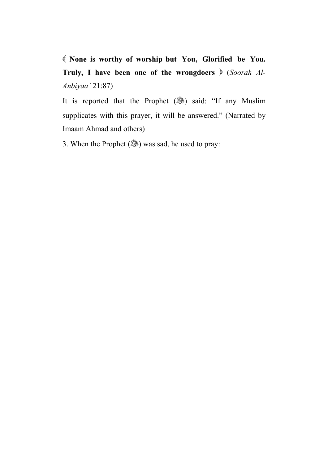**None is worthy of worship but You, Glorified be You. Truly, I have been one of the wrongdoers** (*Soorah Al-Anbiyaa`* 21:87)

It is reported that the Prophet (...) said: "If any Muslim supplicates with this prayer, it will be answered." (Narrated by Imaam Ahmad and others)

3. When the Prophet  $(\mathbb{R})$  was sad, he used to pray: